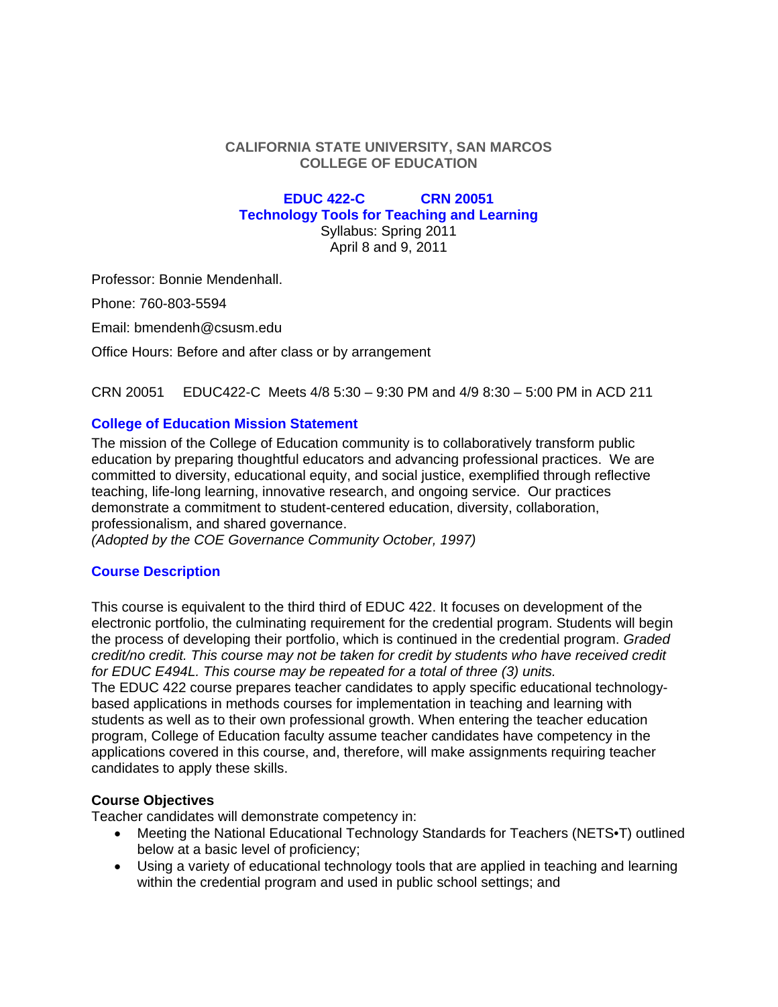## **CALIFORNIA STATE UNIVERSITY, SAN MARCOS COLLEGE OF EDUCATION**

# **EDUC 422-C CRN 20051 Technology Tools for Teaching and Learning** Syllabus: Spring 2011

April 8 and 9, 2011

Professor: Bonnie Mendenhall.

Phone: 760-803-5594

Email: bmendenh@csusm.edu

Office Hours: Before and after class or by arrangement

CRN 20051 EDUC422-C Meets 4/8 5:30 – 9:30 PM and 4/9 8:30 – 5:00 PM in ACD 211

# **College of Education Mission Statement**

 education by preparing thoughtful educators and advancing professional practices. We are The mission of the College of Education community is to collaboratively transform public committed to diversity, educational equity, and social justice, exemplified through reflective teaching, life-long learning, innovative research, and ongoing service. Our practices demonstrate a commitment to student-centered education, diversity, collaboration, professionalism, and shared governance.

*(Adopted by the COE Governance Community October, 1997)* 

# **Course Description**

This course is equivalent to the third third of EDUC 422. It focuses on development of the electronic portfolio, the culminating requirement for the credential program. Students will begin the process of developing their portfolio, which is continued in the credential program. *Graded credit/no credit. This course may not be taken for credit by students who have received credit for EDUC E494L. This course may be repeated for a total of three (3) units.* 

The EDUC 422 course prepares teacher candidates to apply specific educational technologybased applications in methods courses for implementation in teaching and learning with students as well as to their own professional growth. When entering the teacher education program, College of Education faculty assume teacher candidates have competency in the applications covered in this course, and, therefore, will make assignments requiring teacher candidates to apply these skills.

# **Course Objectives**

Teacher candidates will demonstrate competency in:

- Meeting the National Educational Technology Standards for Teachers (NETS•T) outlined below at a basic level of proficiency;
- Using a variety of educational technology tools that are applied in teaching and learning within the credential program and used in public school settings; and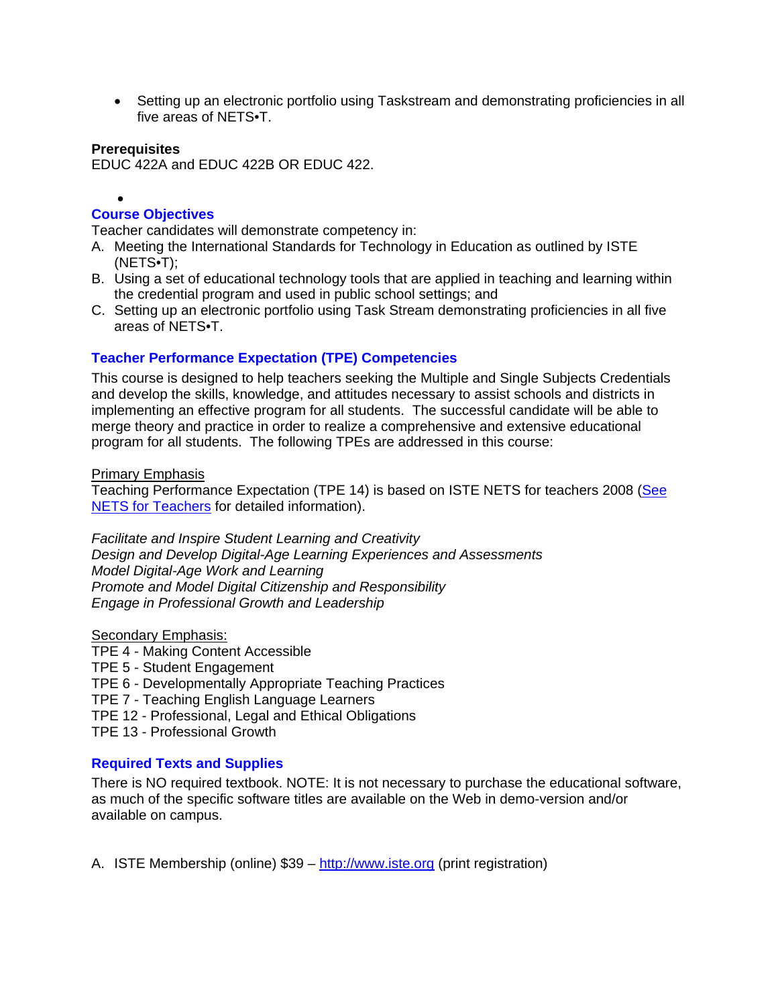Setting up an electronic portfolio using Taskstream and demonstrating proficiencies in all five areas of NETS•T.

#### **Prerequisites**

 $\bullet$ 

EDUC 422A and EDUC 422B OR EDUC 422.

# **Course Objectives**

Teacher candidates will demonstrate competency in:

- A. Meeting the International Standards for Technology in Education as outlined by ISTE (NETS•T);
- B. Using a set of educational technology tools that are applied in teaching and learning within the credential program and used in public school settings; and
- C. Setting up an electronic portfolio using Task Stream demonstrating proficiencies in all five areas of NETS•T.

### **Teacher Performance Expectation (TPE) Competencies**

This course is designed to help teachers seeking the Multiple and Single Subjects Credentials and develop the skills, knowledge, and attitudes necessary to assist schools and districts in implementing an effective program for all students. The successful candidate will be able to merge theory and practice in order to realize a comprehensive and extensive educational program for all students. The following TPEs are addressed in this course:

#### Primary Emphasis

Teaching Performance Expectation (TPE 14) is based on ISTE NETS for teachers 2008 (See NETS for Teachers for detailed information).

*Facilitate and Inspire Student Learning and Creativity Design and Develop Digital-Age Learning Experiences and Assessments Model Digital-Age Work and Learning Promote and Model Digital Citizenship and Responsibility Engage in Professional Growth and Leadership* 

#### Secondary Emphasis:

- TPE 4 Making Content Accessible
- TPE 5 Student Engagement
- TPE 6 Developmentally Appropriate Teaching Practices
- TPE 7 Teaching English Language Learners
- TPE 12 Professional, Legal and Ethical Obligations
- TPE 13 Professional Growth

### **Required Texts and Supplies**

There is NO required textbook. NOTE: It is not necessary to purchase the educational software, as much of the specific software titles are available on the Web in demo-version and/or available on campus.

A. ISTE Membership (online) \$39 – http://www.iste.org (print registration)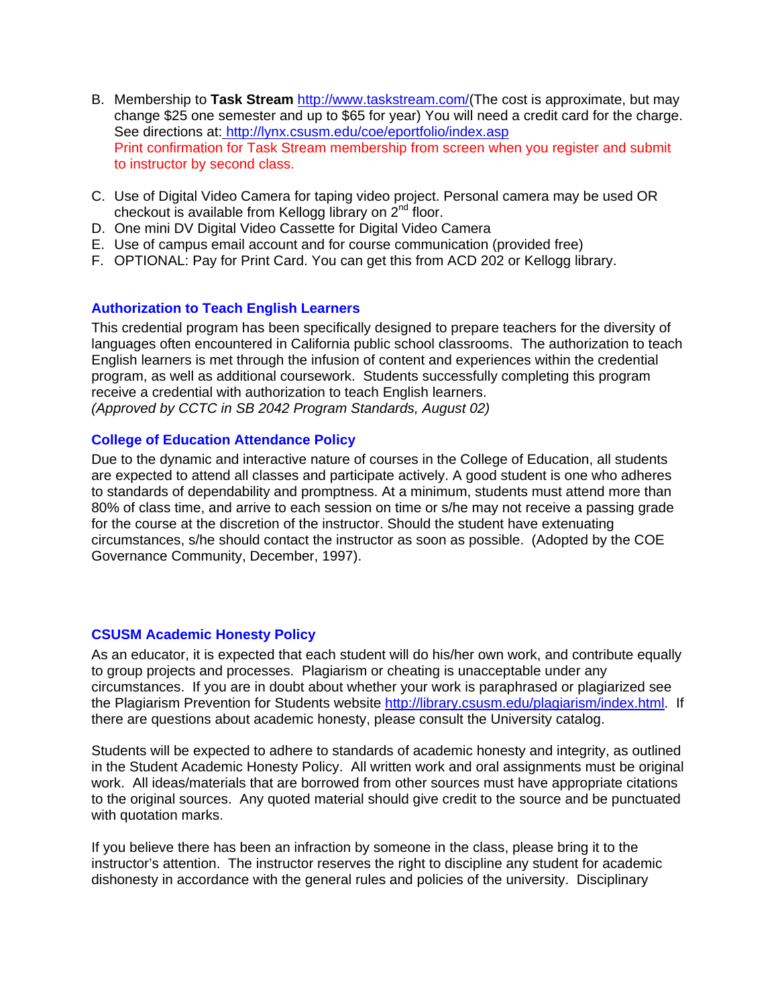- See directions at: http://lynx.csusm.edu/coe/eportfolio/index.asp B. Membership to **Task Stream** http://www.taskstream.com/(The cost is approximate, but may change \$25 one semester and up to \$65 for year) You will need a credit card for the charge. Print confirmation for Task Stream membership from screen when you register and submit to instructor by second class.
- C. Use of Digital Video Camera for taping video project. Personal camera may be used OR checkout is available from Kellogg library on 2<sup>nd</sup> floor.
- D. One mini DV Digital Video Cassette for Digital Video Camera
- E. Use of campus email account and for course communication (provided free)
- F. OPTIONAL: Pay for Print Card. You can get this from ACD 202 or Kellogg library.

# **Authorization to Teach English Learners**

 *(Approved by CCTC in SB 2042 Program Standards, August 02)* This credential program has been specifically designed to prepare teachers for the diversity of languages often encountered in California public school classrooms. The authorization to teach English learners is met through the infusion of content and experiences within the credential program, as well as additional coursework. Students successfully completing this program receive a credential with authorization to teach English learners.

# **College of Education Attendance Policy**

Due to the dynamic and interactive nature of courses in the College of Education, all students are expected to attend all classes and participate actively. A good student is one who adheres to standards of dependability and promptness. At a minimum, students must attend more than 80% of class time, and arrive to each session on time or s/he may not receive a passing grade for the course at the discretion of the instructor. Should the student have extenuating circumstances, s/he should contact the instructor as soon as possible. (Adopted by the COE Governance Community, December, 1997).

### **CSUSM Academic Honesty Policy**

As an educator, it is expected that each student will do his/her own work, and contribute equally to group projects and processes. Plagiarism or cheating is unacceptable under any circumstances. If you are in doubt about whether your work is paraphrased or plagiarized see the Plagiarism Prevention for Students website http://library.csusm.edu/plagiarism/index.html. If there are questions about academic honesty, please consult the University catalog.

Students will be expected to adhere to standards of academic honesty and integrity, as outlined in the Student Academic Honesty Policy. All written work and oral assignments must be original work. All ideas/materials that are borrowed from other sources must have appropriate citations to the original sources. Any quoted material should give credit to the source and be punctuated with quotation marks.

If you believe there has been an infraction by someone in the class, please bring it to the instructor's attention. The instructor reserves the right to discipline any student for academic dishonesty in accordance with the general rules and policies of the university. Disciplinary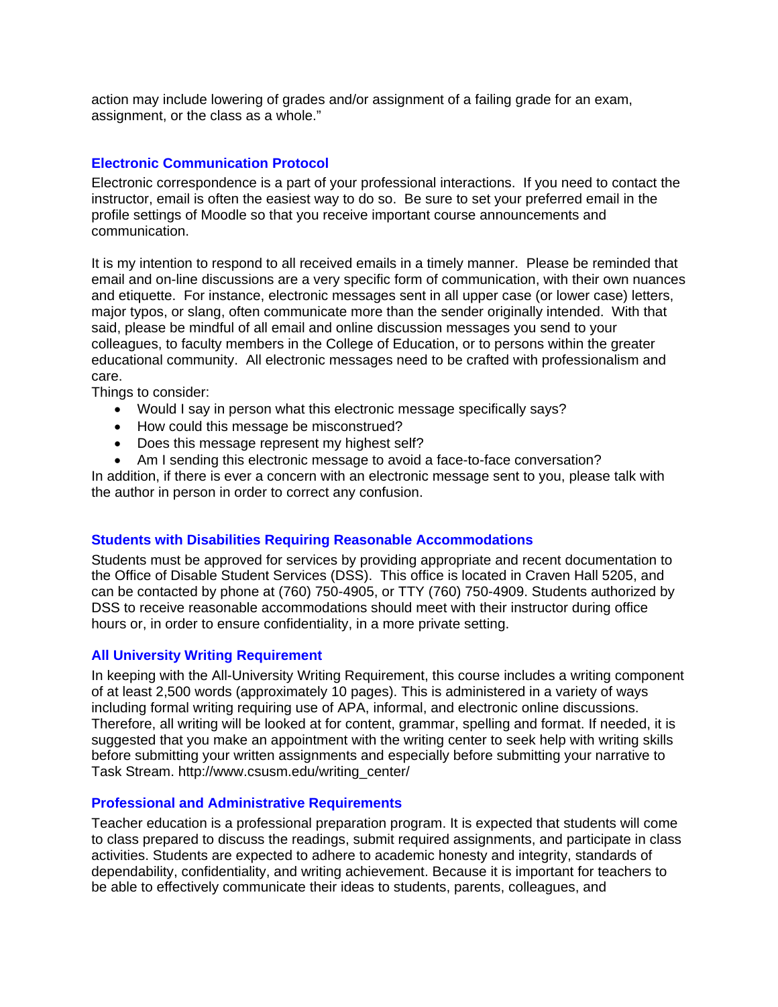action may include lowering of grades and/or assignment of a failing grade for an exam, assignment, or the class as a whole."

## **Electronic Communication Protocol**

Electronic correspondence is a part of your professional interactions. If you need to contact the instructor, email is often the easiest way to do so. Be sure to set your preferred email in the profile settings of Moodle so that you receive important course announcements and communication.

It is my intention to respond to all received emails in a timely manner. Please be reminded that email and on-line discussions are a very specific form of communication, with their own nuances and etiquette. For instance, electronic messages sent in all upper case (or lower case) letters, major typos, or slang, often communicate more than the sender originally intended. With that said, please be mindful of all email and online discussion messages you send to your colleagues, to faculty members in the College of Education, or to persons within the greater educational community. All electronic messages need to be crafted with professionalism and care.

Things to consider:

- Would I say in person what this electronic message specifically says?
- How could this message be misconstrued?
- Does this message represent my highest self?
- Am I sending this electronic message to avoid a face-to-face conversation?

In addition, if there is ever a concern with an electronic message sent to you, please talk with the author in person in order to correct any confusion.

### **Students with Disabilities Requiring Reasonable Accommodations**

Students must be approved for services by providing appropriate and recent documentation to the Office of Disable Student Services (DSS). This office is located in Craven Hall 5205, and can be contacted by phone at (760) 750-4905, or TTY (760) 750-4909. Students authorized by DSS to receive reasonable accommodations should meet with their instructor during office hours or, in order to ensure confidentiality, in a more private setting.

### **All University Writing Requirement**

In keeping with the All-University Writing Requirement, this course includes a writing component of at least 2,500 words (approximately 10 pages). This is administered in a variety of ways including formal writing requiring use of APA, informal, and electronic online discussions. Therefore, all writing will be looked at for content, grammar, spelling and format. If needed, it is suggested that you make an appointment with the writing center to seek help with writing skills before submitting your written assignments and especially before submitting your narrative to Task Stream. http://www.csusm.edu/writing\_center/

### **Professional and Administrative Requirements**

Teacher education is a professional preparation program. It is expected that students will come to class prepared to discuss the readings, submit required assignments, and participate in class activities. Students are expected to adhere to academic honesty and integrity, standards of dependability, confidentiality, and writing achievement. Because it is important for teachers to be able to effectively communicate their ideas to students, parents, colleagues, and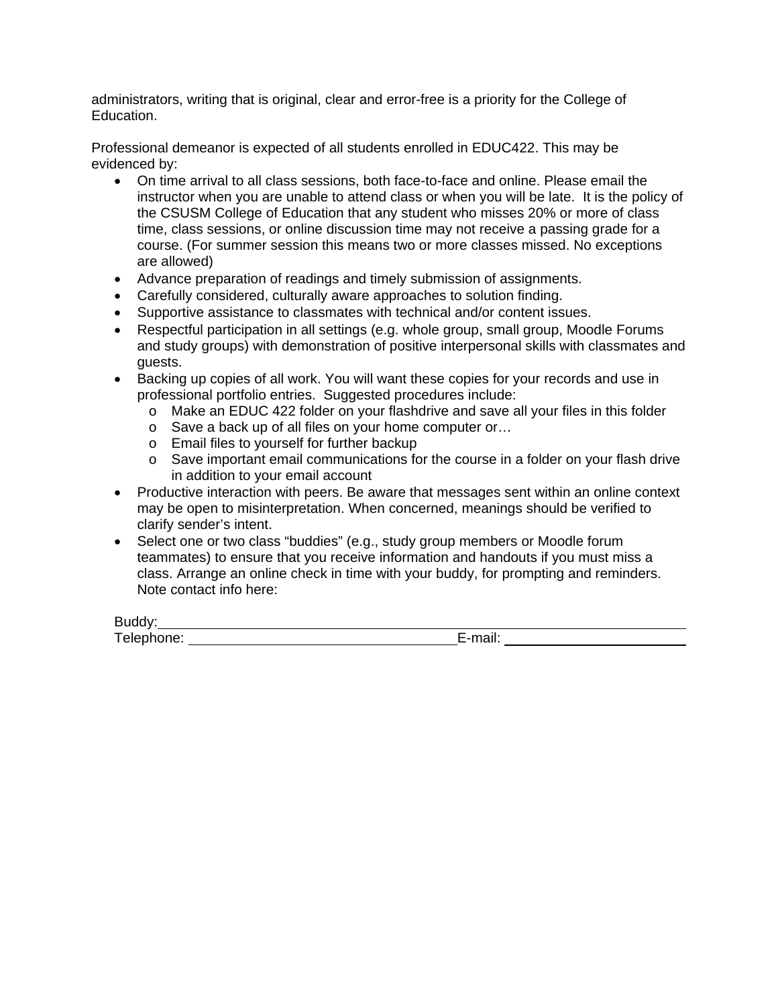administrators, writing that is original, clear and error-free is a priority for the College of Education.

Professional demeanor is expected of all students enrolled in EDUC422. This may be evidenced by:

- On time arrival to all class sessions, both face-to-face and online. Please email the instructor when you are unable to attend class or when you will be late. It is the policy of the CSUSM College of Education that any student who misses 20% or more of class time, class sessions, or online discussion time may not receive a passing grade for a course. (For summer session this means two or more classes missed. No exceptions are allowed)
- Advance preparation of readings and timely submission of assignments.
- Carefully considered, culturally aware approaches to solution finding.
- Supportive assistance to classmates with technical and/or content issues.
- Respectful participation in all settings (e.g. whole group, small group, Moodle Forums and study groups) with demonstration of positive interpersonal skills with classmates and guests.
- Backing up copies of all work. You will want these copies for your records and use in professional portfolio entries. Suggested procedures include:
	- $\circ$  Make an EDUC 422 folder on your flashdrive and save all your files in this folder
	- o Save a back up of all files on your home computer or...
	- o Email files to yourself for further backup
	- $\circ$  Save important email communications for the course in a folder on your flash drive in addition to your email account
- Productive interaction with peers. Be aware that messages sent within an online context may be open to misinterpretation. When concerned, meanings should be verified to clarify sender's intent.
- Select one or two class "buddies" (e.g., study group members or Moodle forum teammates) to ensure that you receive information and handouts if you must miss a class. Arrange an online check in time with your buddy, for prompting and reminders. Note contact info here:

Buddy:

 Telephone: E-mail:

 $\overline{a}$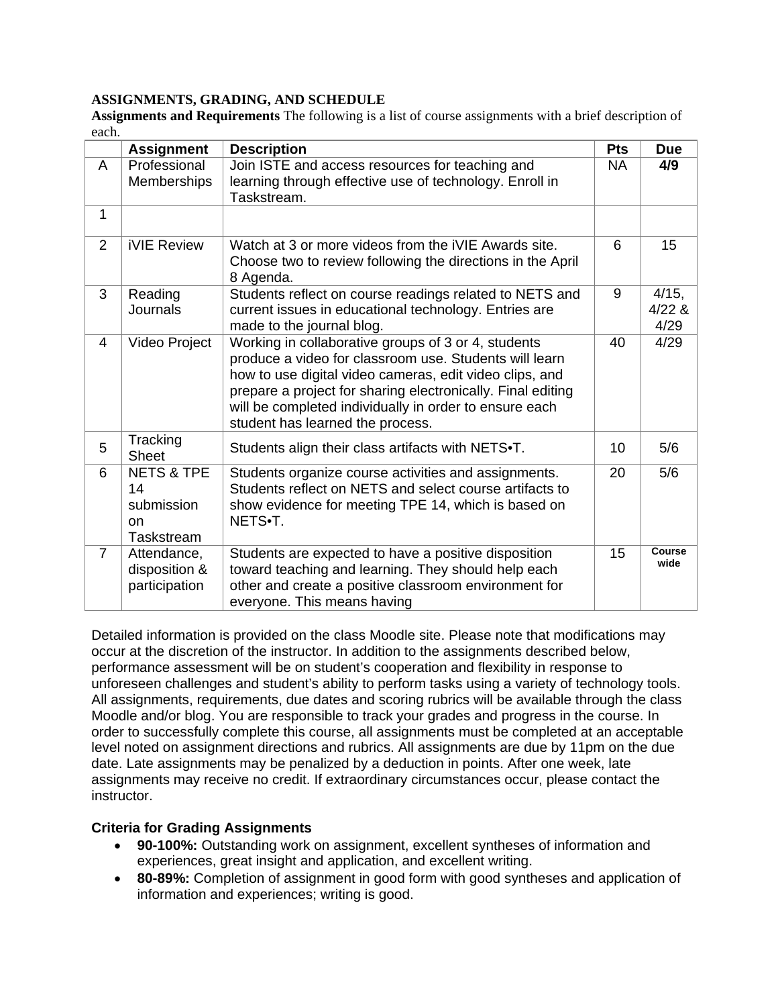## **ASSIGNMENTS, GRADING, AND SCHEDULE**

**Assignments and Requirements** The following is a list of course assignments with a brief description of each.

|                | <b>Assignment</b>                                             | <b>Description</b>                                                                                                                                                                                                                                                                                                                    | Pts | <b>Due</b>                |
|----------------|---------------------------------------------------------------|---------------------------------------------------------------------------------------------------------------------------------------------------------------------------------------------------------------------------------------------------------------------------------------------------------------------------------------|-----|---------------------------|
| A              | Professional<br><b>Memberships</b>                            | Join ISTE and access resources for teaching and<br>learning through effective use of technology. Enroll in<br>Taskstream.                                                                                                                                                                                                             | NA. | 4/9                       |
| $\mathbf{1}$   |                                                               |                                                                                                                                                                                                                                                                                                                                       |     |                           |
| $\overline{2}$ | <b>iVIE Review</b>                                            | Watch at 3 or more videos from the IVIE Awards site.<br>Choose two to review following the directions in the April<br>8 Agenda.                                                                                                                                                                                                       | 6   | 15                        |
| 3              | Reading<br><b>Journals</b>                                    | Students reflect on course readings related to NETS and<br>current issues in educational technology. Entries are<br>made to the journal blog.                                                                                                                                                                                         | 9   | 4/15,<br>$4/22$ &<br>4/29 |
| 4              | Video Project                                                 | Working in collaborative groups of 3 or 4, students<br>produce a video for classroom use. Students will learn<br>how to use digital video cameras, edit video clips, and<br>prepare a project for sharing electronically. Final editing<br>will be completed individually in order to ensure each<br>student has learned the process. | 40  | 4/29                      |
| 5              | Tracking<br><b>Sheet</b>                                      | Students align their class artifacts with NETS.T.                                                                                                                                                                                                                                                                                     | 10  | 5/6                       |
| 6              | <b>NETS &amp; TPE</b><br>14<br>submission<br>on<br>Taskstream | Students organize course activities and assignments.<br>Students reflect on NETS and select course artifacts to<br>show evidence for meeting TPE 14, which is based on<br>NETS.T.                                                                                                                                                     | 20  | 5/6                       |
| $\overline{7}$ | Attendance,<br>disposition &<br>participation                 | Students are expected to have a positive disposition<br>toward teaching and learning. They should help each<br>other and create a positive classroom environment for<br>everyone. This means having                                                                                                                                   | 15  | Course<br>wide            |

Detailed information is provided on the class Moodle site. Please note that modifications may occur at the discretion of the instructor. In addition to the assignments described below, performance assessment will be on student's cooperation and flexibility in response to unforeseen challenges and student's ability to perform tasks using a variety of technology tools. All assignments, requirements, due dates and scoring rubrics will be available through the class Moodle and/or blog. You are responsible to track your grades and progress in the course. In order to successfully complete this course, all assignments must be completed at an acceptable level noted on assignment directions and rubrics. All assignments are due by 11pm on the due date. Late assignments may be penalized by a deduction in points. After one week, late assignments may receive no credit. If extraordinary circumstances occur, please contact the instructor.

# **Criteria for Grading Assignments**

- **90-100%:** Outstanding work on assignment, excellent syntheses of information and experiences, great insight and application, and excellent writing.
- **80-89%:** Completion of assignment in good form with good syntheses and application of information and experiences; writing is good.